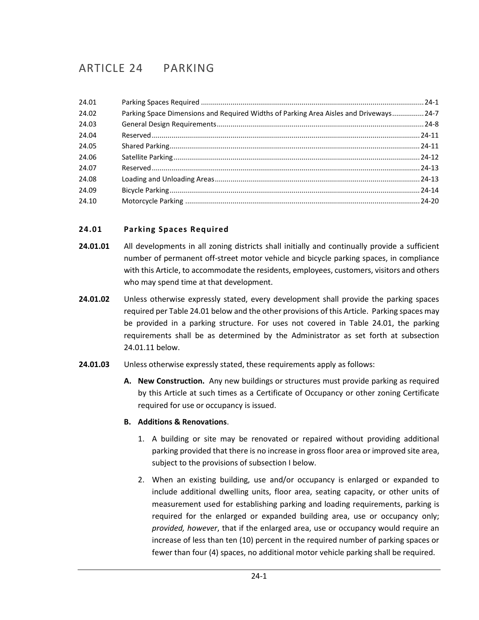# ARTICLE 24 PARKING

| 24.01 |                                                                                        |  |
|-------|----------------------------------------------------------------------------------------|--|
| 24.02 | Parking Space Dimensions and Required Widths of Parking Area Aisles and Driveways 24-7 |  |
| 24.03 |                                                                                        |  |
| 24.04 |                                                                                        |  |
| 24.05 |                                                                                        |  |
| 24.06 |                                                                                        |  |
| 24.07 |                                                                                        |  |
| 24.08 |                                                                                        |  |
| 24.09 |                                                                                        |  |
| 24.10 |                                                                                        |  |

## <span id="page-0-0"></span>**24.01 Parking Spaces Required**

- **24.01.01** All developments in all zoning districts shall initially and continually provide a sufficient number of permanent off-street motor vehicle and bicycle parking spaces, in compliance with this Article, to accommodate the residents, employees, customers, visitors and others who may spend time at that development.
- **24.01.02** Unless otherwise expressly stated, every development shall provide the parking spaces required per Table 24.01 below and the other provisions of this Article. Parking spaces may be provided in a parking structure. For uses not covered in Table 24.01, the parking requirements shall be as determined by the Administrator as set forth at subsection 24.01.11 below.
- **24.01.03** Unless otherwise expressly stated, these requirements apply as follows:
	- **A. New Construction.** Any new buildings or structures must provide parking as required by this Article at such times as a Certificate of Occupancy or other zoning Certificate required for use or occupancy is issued.

#### **B. Additions & Renovations**.

- 1. A building or site may be renovated or repaired without providing additional parking provided that there is no increase in gross floor area or improved site area, subject to the provisions of subsection I below.
- 2. When an existing building, use and/or occupancy is enlarged or expanded to include additional dwelling units, floor area, seating capacity, or other units of measurement used for establishing parking and loading requirements, parking is required for the enlarged or expanded building area, use or occupancy only; *provided, however*, that if the enlarged area, use or occupancy would require an increase of less than ten (10) percent in the required number of parking spaces or fewer than four (4) spaces, no additional motor vehicle parking shall be required.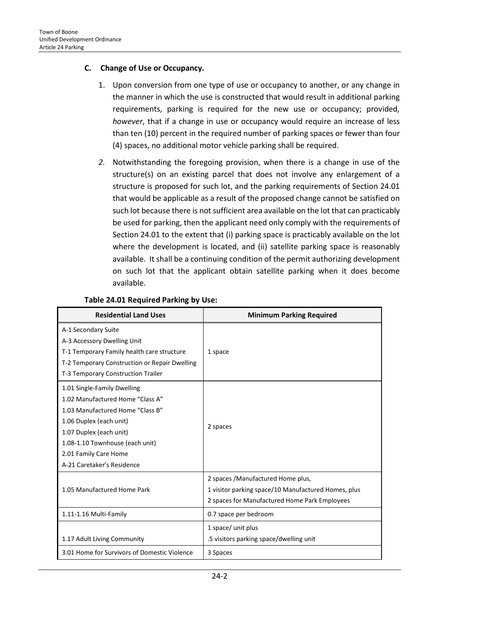#### **C. Change of Use or Occupancy.**

- 1. Upon conversion from one type of use or occupancy to another, or any change in the manner in which the use is constructed that would result in additional parking requirements, parking is required for the new use or occupancy; provided*, however*, that if a change in use or occupancy would require an increase of less than ten (10) percent in the required number of parking spaces or fewer than four (4) spaces, no additional motor vehicle parking shall be required.
- *2.* Notwithstanding the foregoing provision, when there is a change in use of the structure(s) on an existing parcel that does not involve any enlargement of a structure is proposed for such lot, and the parking requirements of Section 24.01 that would be applicable as a result of the proposed change cannot be satisfied on such lot because there is not sufficient area available on the lot that can practicably be used for parking, then the applicant need only comply with the requirements of Section 24.01 to the extent that (i) parking space is practicably available on the lot where the development is located, and (ii) satellite parking space is reasonably available. It shall be a continuing condition of the permit authorizing development on such lot that the applicant obtain satellite parking when it does become available.

| <b>Residential Land Uses</b>                  | <b>Minimum Parking Required</b>                     |  |  |
|-----------------------------------------------|-----------------------------------------------------|--|--|
| A-1 Secondary Suite                           |                                                     |  |  |
| A-3 Accessory Dwelling Unit                   |                                                     |  |  |
| T-1 Temporary Family health care structure    | 1 space                                             |  |  |
| T-2 Temporary Construction or Repair Dwelling |                                                     |  |  |
| T-3 Temporary Construction Trailer            |                                                     |  |  |
| 1.01 Single-Family Dwelling                   |                                                     |  |  |
| 1.02 Manufactured Home "Class A"              |                                                     |  |  |
| 1.03 Manufactured Home "Class B"              |                                                     |  |  |
| 1.06 Duplex (each unit)                       |                                                     |  |  |
| 1.07 Duplex (each unit)                       | 2 spaces                                            |  |  |
| 1.08-1.10 Townhouse (each unit)               |                                                     |  |  |
| 2.01 Family Care Home                         |                                                     |  |  |
| A-21 Caretaker's Residence                    |                                                     |  |  |
|                                               | 2 spaces / Manufactured Home plus,                  |  |  |
| 1.05 Manufactured Home Park                   | 1 visitor parking space/10 Manufactured Homes, plus |  |  |
|                                               | 2 spaces for Manufactured Home Park Employees       |  |  |
| 1.11-1.16 Multi-Family                        | 0.7 space per bedroom                               |  |  |
|                                               | 1 space/ unit plus                                  |  |  |
| 1.17 Adult Living Community                   | .5 visitors parking space/dwelling unit             |  |  |
| 3.01 Home for Survivors of Domestic Violence  | 3 Spaces                                            |  |  |

#### **Table 24.01 Required Parking by Use:**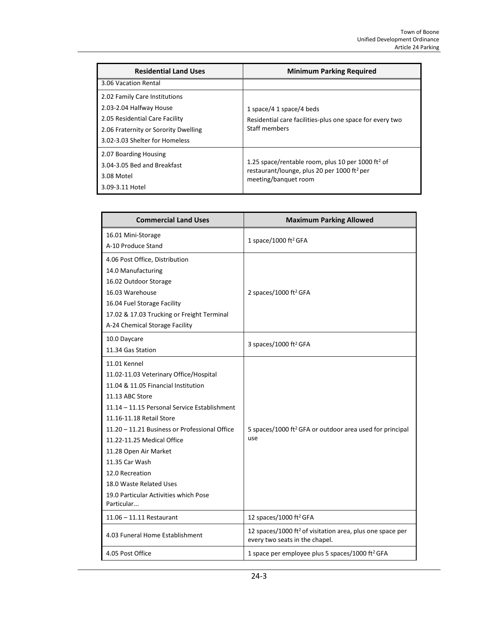| <b>Residential Land Uses</b>         | <b>Minimum Parking Required</b>                                                                                          |
|--------------------------------------|--------------------------------------------------------------------------------------------------------------------------|
| 3.06 Vacation Rental                 |                                                                                                                          |
| 2.02 Family Care Institutions        |                                                                                                                          |
| 2.03-2.04 Halfway House              | 1 space/4 1 space/4 beds                                                                                                 |
| 2.05 Residential Care Facility       | Residential care facilities-plus one space for every two                                                                 |
| 2.06 Fraternity or Sorority Dwelling | Staff members                                                                                                            |
| 3.02-3.03 Shelter for Homeless       |                                                                                                                          |
| 2.07 Boarding Housing                |                                                                                                                          |
| 3.04-3.05 Bed and Breakfast          | 1.25 space/rentable room, plus 10 per 1000 ft <sup>2</sup> of<br>restaurant/lounge, plus 20 per 1000 ft <sup>2</sup> per |
| 3.08 Motel                           | meeting/banquet room                                                                                                     |
| 3.09-3.11 Hotel                      |                                                                                                                          |

| <b>Commercial Land Uses</b>                   | <b>Maximum Parking Allowed</b>                                                                          |  |  |
|-----------------------------------------------|---------------------------------------------------------------------------------------------------------|--|--|
| 16.01 Mini-Storage                            | 1 space/1000 ft <sup>2</sup> GFA                                                                        |  |  |
| A-10 Produce Stand                            |                                                                                                         |  |  |
| 4.06 Post Office, Distribution                |                                                                                                         |  |  |
| 14.0 Manufacturing                            |                                                                                                         |  |  |
| 16.02 Outdoor Storage                         |                                                                                                         |  |  |
| 16.03 Warehouse                               | 2 spaces/1000 ft <sup>2</sup> GFA                                                                       |  |  |
| 16.04 Fuel Storage Facility                   |                                                                                                         |  |  |
| 17.02 & 17.03 Trucking or Freight Terminal    |                                                                                                         |  |  |
| A-24 Chemical Storage Facility                |                                                                                                         |  |  |
| 10.0 Daycare                                  | 3 spaces/1000 ft <sup>2</sup> GFA                                                                       |  |  |
| 11.34 Gas Station                             |                                                                                                         |  |  |
| 11.01 Kennel                                  |                                                                                                         |  |  |
| 11.02-11.03 Veterinary Office/Hospital        |                                                                                                         |  |  |
| 11.04 & 11.05 Financial Institution           |                                                                                                         |  |  |
| 11.13 ABC Store                               |                                                                                                         |  |  |
| 11.14 – 11.15 Personal Service Establishment  |                                                                                                         |  |  |
| 11.16-11.18 Retail Store                      |                                                                                                         |  |  |
| 11.20 - 11.21 Business or Professional Office | 5 spaces/1000 ft <sup>2</sup> GFA or outdoor area used for principal                                    |  |  |
| 11.22-11.25 Medical Office                    | use                                                                                                     |  |  |
| 11.28 Open Air Market                         |                                                                                                         |  |  |
| 11.35 Car Wash                                |                                                                                                         |  |  |
| 12.0 Recreation                               |                                                                                                         |  |  |
| 18.0 Waste Related Uses                       |                                                                                                         |  |  |
| 19.0 Particular Activities which Pose         |                                                                                                         |  |  |
| Particular                                    |                                                                                                         |  |  |
| $11.06 - 11.11$ Restaurant                    | 12 spaces/1000 ft <sup>2</sup> GFA                                                                      |  |  |
| 4.03 Funeral Home Establishment               | 12 spaces/1000 ft <sup>2</sup> of visitation area, plus one space per<br>every two seats in the chapel. |  |  |
| 4.05 Post Office                              | 1 space per employee plus 5 spaces/1000 ft <sup>2</sup> GFA                                             |  |  |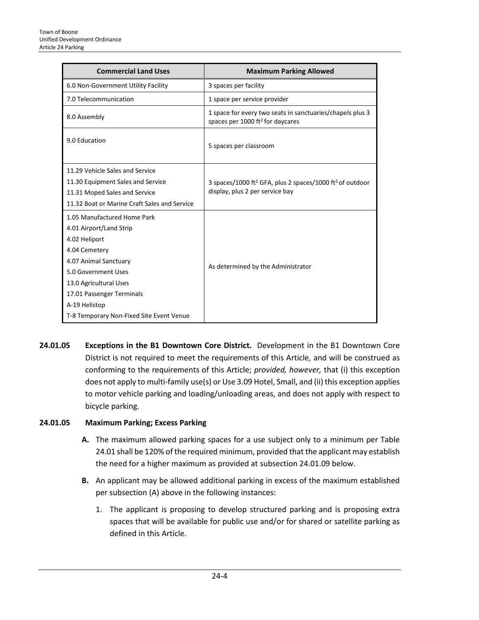| <b>Commercial Land Uses</b>                                                                                                                                                                                                                                  | <b>Maximum Parking Allowed</b>                                                                                      |
|--------------------------------------------------------------------------------------------------------------------------------------------------------------------------------------------------------------------------------------------------------------|---------------------------------------------------------------------------------------------------------------------|
| 6.0 Non-Government Utility Facility                                                                                                                                                                                                                          | 3 spaces per facility                                                                                               |
| 7.0 Telecommunication                                                                                                                                                                                                                                        | 1 space per service provider                                                                                        |
| 8.0 Assembly                                                                                                                                                                                                                                                 | 1 space for every two seats in sanctuaries/chapels plus 3<br>spaces per 1000 ft <sup>2</sup> for daycares           |
| 9.0 Education                                                                                                                                                                                                                                                | 5 spaces per classroom                                                                                              |
| 11.29 Vehicle Sales and Service<br>11.30 Equipment Sales and Service<br>11.31 Moped Sales and Service<br>11.32 Boat or Marine Craft Sales and Service                                                                                                        | 3 spaces/1000 ft <sup>2</sup> GFA, plus 2 spaces/1000 ft <sup>2</sup> of outdoor<br>display, plus 2 per service bay |
| 1.05 Manufactured Home Park<br>4.01 Airport/Land Strip<br>4.02 Heliport<br>4.04 Cemetery<br>4.07 Animal Sanctuary<br>5.0 Government Uses<br>13.0 Agricultural Uses<br>17.01 Passenger Terminals<br>A-19 Helistop<br>T-8 Temporary Non-Fixed Site Event Venue | As determined by the Administrator                                                                                  |

**24.01.05 Exceptions in the B1 Downtown Core District.** Development in the B1 Downtown Core District is not required to meet the requirements of this Article, and will be construed as conforming to the requirements of this Article; *provided, however,* that (i) this exception does not apply to multi-family use(s) or Use 3.09 Hotel, Small, and (ii) this exception applies to motor vehicle parking and loading/unloading areas, and does not apply with respect to bicycle parking.

#### **24.01.05 Maximum Parking; Excess Parking**

- **A.** The maximum allowed parking spaces for a use subject only to a minimum per Table 24.01 shall be 120% of the required minimum, provided that the applicant may establish the need for a higher maximum as provided at subsection 24.01.09 below.
- **B.** An applicant may be allowed additional parking in excess of the maximum established per subsection (A) above in the following instances:
	- 1. The applicant is proposing to develop structured parking and is proposing extra spaces that will be available for public use and/or for shared or satellite parking as defined in this Article.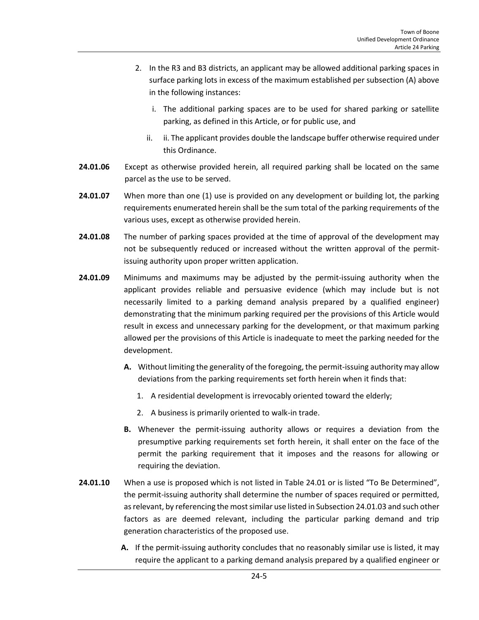- 2. In the R3 and B3 districts, an applicant may be allowed additional parking spaces in surface parking lots in excess of the maximum established per subsection (A) above in the following instances:
	- i. The additional parking spaces are to be used for shared parking or satellite parking, as defined in this Article, or for public use, and
	- ii. ii. The applicant provides double the landscape buffer otherwise required under this Ordinance.
- **24.01.06** Except as otherwise provided herein, all required parking shall be located on the same parcel as the use to be served.
- **24.01.07** When more than one (1) use is provided on any development or building lot, the parking requirements enumerated herein shall be the sum total of the parking requirements of the various uses, except as otherwise provided herein.
- **24.01.08** The number of parking spaces provided at the time of approval of the development may not be subsequently reduced or increased without the written approval of the permitissuing authority upon proper written application.
- **24.01.09** Minimums and maximums may be adjusted by the permit-issuing authority when the applicant provides reliable and persuasive evidence (which may include but is not necessarily limited to a parking demand analysis prepared by a qualified engineer) demonstrating that the minimum parking required per the provisions of this Article would result in excess and unnecessary parking for the development, or that maximum parking allowed per the provisions of this Article is inadequate to meet the parking needed for the development.
	- **A.** Without limiting the generality of the foregoing, the permit-issuing authority may allow deviations from the parking requirements set forth herein when it finds that:
		- 1. A residential development is irrevocably oriented toward the elderly;
		- 2. A business is primarily oriented to walk-in trade.
	- **B.** Whenever the permit-issuing authority allows or requires a deviation from the presumptive parking requirements set forth herein, it shall enter on the face of the permit the parking requirement that it imposes and the reasons for allowing or requiring the deviation.
- **24.01.10** When a use is proposed which is not listed in Table 24.01 or is listed "To Be Determined", the permit-issuing authority shall determine the number of spaces required or permitted, as relevant, by referencing the most similar use listed in Subsection 24.01.03 and such other factors as are deemed relevant, including the particular parking demand and trip generation characteristics of the proposed use.
	- **A.** If the permit-issuing authority concludes that no reasonably similar use is listed, it may require the applicant to a parking demand analysis prepared by a qualified engineer or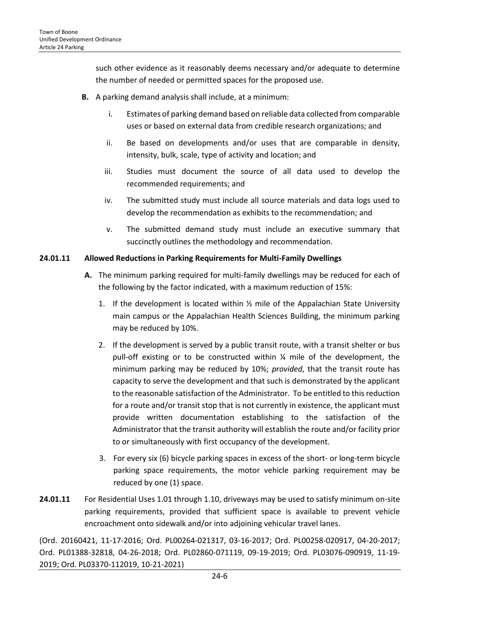such other evidence as it reasonably deems necessary and/or adequate to determine the number of needed or permitted spaces for the proposed use.

- **B.** A parking demand analysis shall include, at a minimum:
	- i. Estimates of parking demand based on reliable data collected from comparable uses or based on external data from credible research organizations; and
	- ii. Be based on developments and/or uses that are comparable in density, intensity, bulk, scale, type of activity and location; and
	- iii. Studies must document the source of all data used to develop the recommended requirements; and
	- iv. The submitted study must include all source materials and data logs used to develop the recommendation as exhibits to the recommendation; and
	- v. The submitted demand study must include an executive summary that succinctly outlines the methodology and recommendation.

#### **24.01.11 Allowed Reductions in Parking Requirements for Multi-Family Dwellings**

- **A.** The minimum parking required for multi-family dwellings may be reduced for each of the following by the factor indicated, with a maximum reduction of 15%:
	- 1. If the development is located within  $\frac{1}{2}$  mile of the Appalachian State University main campus or the Appalachian Health Sciences Building, the minimum parking may be reduced by 10%.
	- 2. If the development is served by a public transit route, with a transit shelter or bus pull-off existing or to be constructed within ¼ mile of the development, the minimum parking may be reduced by 10%; *provided*, that the transit route has capacity to serve the development and that such is demonstrated by the applicant to the reasonable satisfaction of the Administrator. To be entitled to this reduction for a route and/or transit stop that is not currently in existence, the applicant must provide written documentation establishing to the satisfaction of the Administrator that the transit authority will establish the route and/or facility prior to or simultaneously with first occupancy of the development.
	- 3. For every six (6) bicycle parking spaces in excess of the short- or long-term bicycle parking space requirements, the motor vehicle parking requirement may be reduced by one (1) space.
- **24.01.11** For Residential Uses 1.01 through 1.10, driveways may be used to satisfy minimum on-site parking requirements, provided that sufficient space is available to prevent vehicle [encroachment](javascript:openNamedPopup(%22/nxt/gateway.dll?f=id$id=cary_nc0-0-0-8037-pop$t=document-frame.htm$3.0$p=%22,%22Encroachment%22,5385,2250);) onto sidewalk and/or into adjoining vehicular travel lanes.

(Ord. 20160421, 11-17-2016; Ord. PL00264-021317, 03-16-2017; Ord. PL00258-020917, 04-20-2017; Ord. PL01388-32818, 04-26-2018; Ord. PL02860-071119, 09-19-2019; Ord. PL03076-090919, 11-19- 2019; Ord. PL03370-112019, 10-21-2021)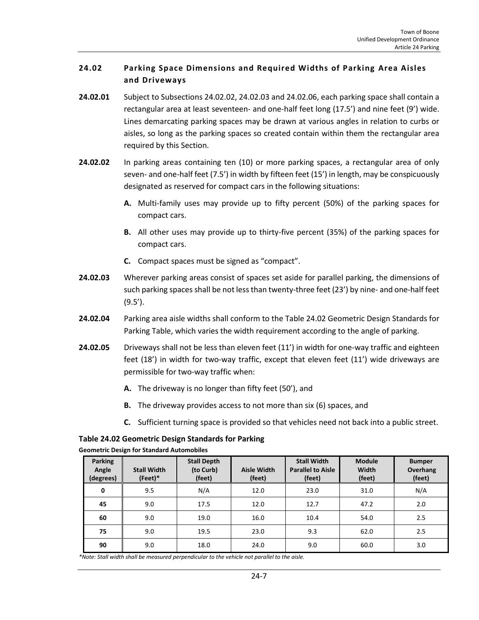# <span id="page-6-0"></span>**24.02 Parking Space Dimensions and Required Widths of Parking Area Aisles and Driveways**

- **24.02.01** Subject to Subsections 24.02.02, 24.02.03 and 24.02.06, each parking space shall contain a rectangular area at least seventeen- and one-half feet long (17.5') and nine feet (9') wide. Lines demarcating parking spaces may be drawn at various angles in relation to curbs or aisles, so long as the parking spaces so created contain within them the rectangular area required by this Section.
- **24.02.02** In parking areas containing ten (10) or more parking spaces, a rectangular area of only seven- and one-half feet (7.5') in width by fifteen feet (15') in length, may be conspicuously designated as reserved for compact cars in the following situations:
	- **A.** Multi-family uses may provide up to fifty percent (50%) of the parking spaces for compact cars.
	- **B.** All other uses may provide up to thirty-five percent (35%) of the parking spaces for compact cars.
	- **C.** Compact spaces must be signed as "compact".
- **24.02.03** Wherever parking areas consist of spaces set aside for parallel parking, the dimensions of such parking spaces shall be not less than twenty-three feet (23') by nine- and one-half feet (9.5').
- **24.02.04** Parking area aisle widths shall conform to the Table 24.02 Geometric Design Standards for Parking Table, which varies the width requirement according to the angle of parking.
- **24.02.05** Driveways shall not be less than eleven feet (11') in width for one-way traffic and eighteen feet (18') in width for two-way traffic, except that eleven feet (11') wide driveways are permissible for two-way traffic when:
	- **A.** The driveway is no longer than fifty feet (50'), and
	- **B.** The driveway provides access to not more than six (6) spaces, and
	- **C.** Sufficient turning space is provided so that vehicles need not back into a public street.

## **Table 24.02 Geometric Design Standards for Parking**

| <b>Parking</b><br>Angle<br>(degrees) | <b>Stall Width</b><br>(Feet)* | <b>Stall Depth</b><br>(to Curb)<br>(feet) | <b>Aisle Width</b><br>(feet) | <b>Stall Width</b><br><b>Parallel to Aisle</b><br>(feet) | <b>Module</b><br>Width<br>(feet) | <b>Bumper</b><br>Overhang<br>(feet) |
|--------------------------------------|-------------------------------|-------------------------------------------|------------------------------|----------------------------------------------------------|----------------------------------|-------------------------------------|
| 0                                    | 9.5                           | N/A                                       | 12.0                         | 23.0                                                     | 31.0                             | N/A                                 |
| 45                                   | 9.0                           | 17.5                                      | 12.0                         | 12.7                                                     | 47.2                             | 2.0                                 |
| 60                                   | 9.0                           | 19.0                                      | 16.0                         | 10.4                                                     | 54.0                             | 2.5                                 |
| 75                                   | 9.0                           | 19.5                                      | 23.0                         | 9.3                                                      | 62.0                             | 2.5                                 |
| 90                                   | 9.0                           | 18.0                                      | 24.0                         | 9.0                                                      | 60.0                             | 3.0                                 |

**Geometric Design for Standard Automobiles**

*\*Note: Stall width shall be measured perpendicular to the vehicle not parallel to the aisle.*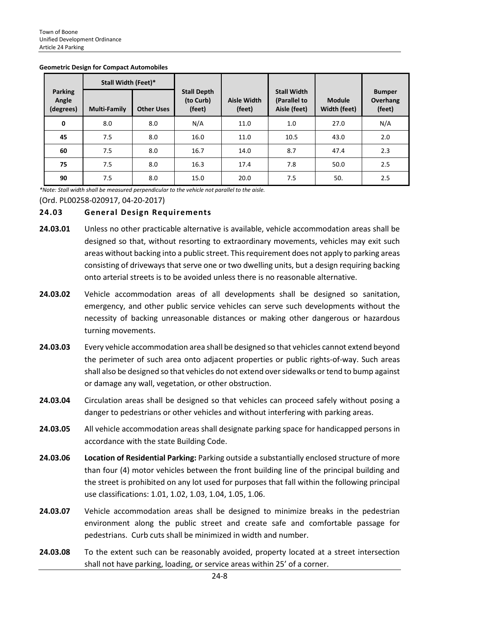|                                      | Stall Width (Feet)* |                   |                                           |                              |                                                    |                               |                                     |
|--------------------------------------|---------------------|-------------------|-------------------------------------------|------------------------------|----------------------------------------------------|-------------------------------|-------------------------------------|
| <b>Parking</b><br>Angle<br>(degrees) | <b>Multi-Family</b> | <b>Other Uses</b> | <b>Stall Depth</b><br>(to Curb)<br>(feet) | <b>Aisle Width</b><br>(feet) | <b>Stall Width</b><br>(Parallel to<br>Aisle (feet) | <b>Module</b><br>Width (feet) | <b>Bumper</b><br>Overhang<br>(feet) |
| 0                                    | 8.0                 | 8.0               | N/A                                       | 11.0                         | 1.0                                                | 27.0                          | N/A                                 |
| 45                                   | 7.5                 | 8.0               | 16.0                                      | 11.0                         | 10.5                                               | 43.0                          | 2.0                                 |
| 60                                   | 7.5                 | 8.0               | 16.7                                      | 14.0                         | 8.7                                                | 47.4                          | 2.3                                 |
| 75                                   | 7.5                 | 8.0               | 16.3                                      | 17.4                         | 7.8                                                | 50.0                          | 2.5                                 |
| 90                                   | 7.5                 | 8.0               | 15.0                                      | 20.0                         | 7.5                                                | 50.                           | 2.5                                 |

#### **Geometric Design for Compact Automobiles**

*\*Note: Stall width shall be measured perpendicular to the vehicle not parallel to the aisle.*

(Ord. PL00258-020917, 04-20-2017)

#### <span id="page-7-0"></span>**24.03 General Design Requirements**

- **24.03.01** Unless no other practicable alternative is available, vehicle accommodation areas shall be designed so that, without resorting to extraordinary movements, vehicles may exit such areas without backing into a public street. This requirement does not apply to parking areas consisting of driveways that serve one or two dwelling units, but a design requiring backing onto arterial streets is to be avoided unless there is no reasonable alternative.
- **24.03.02** Vehicle accommodation areas of all developments shall be designed so sanitation, emergency, and other public service vehicles can serve such developments without the necessity of backing unreasonable distances or making other dangerous or hazardous turning movements.
- **24.03.03** Every vehicle accommodation area shall be designed so that vehicles cannot extend beyond the perimeter of such area onto adjacent properties or public rights-of-way. Such areas shall also be designed so that vehicles do not extend over sidewalks or tend to bump against or damage any wall, vegetation, or other obstruction.
- **24.03.04** Circulation areas shall be designed so that vehicles can proceed safely without posing a danger to pedestrians or other vehicles and without interfering with parking areas.
- **24.03.05** All vehicle accommodation areas shall designate parking space for handicapped persons in accordance with the state Building Code.
- **24.03.06 Location of Residential Parking:** Parking outside a substantially enclosed structure of more than four (4) motor vehicles between the front building line of the principal building and the street is prohibited on any lot used for purposes that fall within the following principal use classifications: 1.01, 1.02, 1.03, 1.04, 1.05, 1.06.
- **24.03.07** Vehicle accommodation areas shall be designed to minimize breaks in the pedestrian environment along the public street and create safe and comfortable passage for pedestrians. Curb cuts shall be minimized in width and number.
- **24.03.08** To the extent such can be reasonably avoided, property located at a street intersection shall not have parking, loading, or service areas within 25' of a corner.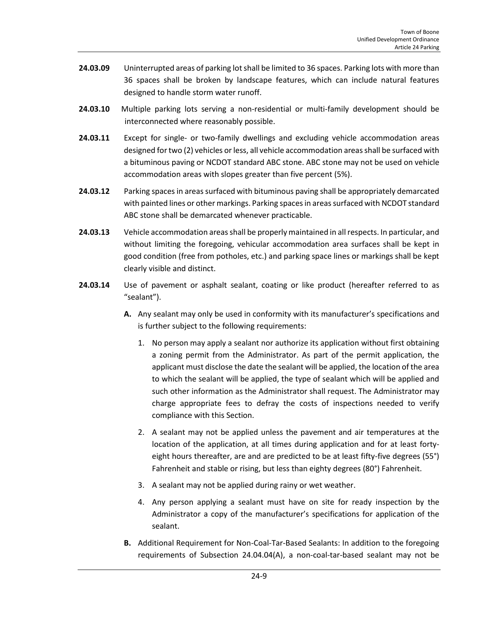- **24.03.09** Uninterrupted areas of parking lot shall be limited to 36 spaces. Parking lots with more than 36 spaces shall be broken by landscape features, which can include natural features designed to handle storm water runoff.
- **24.03.10** Multiple parking lots serving a non-residential or multi-family development should be interconnected where reasonably possible.
- **24.03.11** Except for single- or two-family dwellings and excluding vehicle accommodation areas designed for two (2) vehicles or less, all vehicle accommodation areas shall be surfaced with a bituminous paving or NCDOT standard ABC stone. ABC stone may not be used on vehicle accommodation areas with slopes greater than five percent (5%).
- **24.03.12** Parking spaces in areas surfaced with bituminous paving shall be appropriately demarcated with painted lines or other markings. Parking spaces in areas surfaced with NCDOT standard ABC stone shall be demarcated whenever practicable.
- **24.03.13** Vehicle accommodation areas shall be properly maintained in allrespects. In particular, and without limiting the foregoing, vehicular accommodation area surfaces shall be kept in good condition (free from potholes, etc.) and parking space lines or markings shall be kept clearly visible and distinct.
- **24.03.14** Use of pavement or asphalt sealant, coating or like product (hereafter referred to as "sealant").
	- **A.** Any sealant may only be used in conformity with its manufacturer's specifications and is further subject to the following requirements:
		- 1. No person may apply a sealant nor authorize its application without first obtaining a zoning permit from the Administrator. As part of the permit application, the applicant must disclose the date the sealant will be applied, the location of the area to which the sealant will be applied, the type of sealant which will be applied and such other information as the Administrator shall request. The Administrator may charge appropriate fees to defray the costs of inspections needed to verify compliance with this Section.
		- 2. A sealant may not be applied unless the pavement and air temperatures at the location of the application, at all times during application and for at least fortyeight hours thereafter, are and are predicted to be at least fifty-five degrees (55°) Fahrenheit and stable or rising, but less than eighty degrees (80°) Fahrenheit.
		- 3. A sealant may not be applied during rainy or wet weather.
		- 4. Any person applying a sealant must have on site for ready inspection by the Administrator a copy of the manufacturer's specifications for application of the sealant.
	- **B.** Additional Requirement for Non-Coal-Tar-Based Sealants: In addition to the foregoing requirements of Subsection 24.04.04(A), a non-coal-tar-based sealant may not be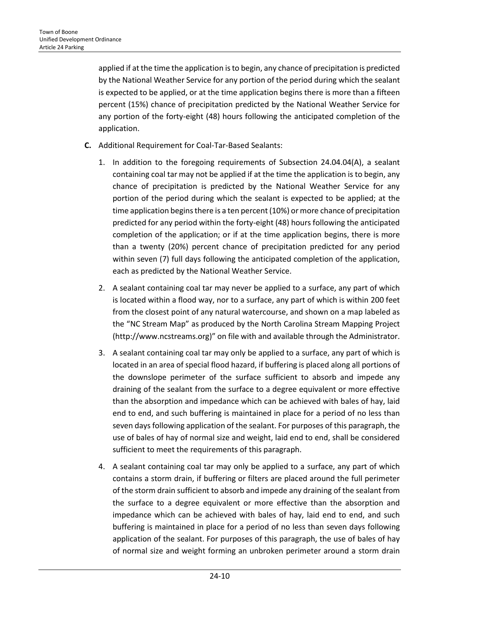applied if at the time the application is to begin, any chance of precipitation is predicted by the National Weather Service for any portion of the period during which the sealant is expected to be applied, or at the time application begins there is more than a fifteen percent (15%) chance of precipitation predicted by the National Weather Service for any portion of the forty-eight (48) hours following the anticipated completion of the application.

- **C.** Additional Requirement for Coal-Tar-Based Sealants:
	- 1. In addition to the foregoing requirements of Subsection 24.04.04(A), a sealant containing coal tar may not be applied if at the time the application is to begin, any chance of precipitation is predicted by the National Weather Service for any portion of the period during which the sealant is expected to be applied; at the time application begins there is a ten percent (10%) or more chance of precipitation predicted for any period within the forty-eight (48) hours following the anticipated completion of the application; or if at the time application begins, there is more than a twenty (20%) percent chance of precipitation predicted for any period within seven (7) full days following the anticipated completion of the application, each as predicted by the National Weather Service.
	- 2. A sealant containing coal tar may never be applied to a surface, any part of which is located within a flood way, nor to a surface, any part of which is within 200 feet from the closest point of any natural watercourse, and shown on a map labeled as the "NC Stream Map" as produced by the North Carolina Stream Mapping Project (http://www.ncstreams.org)" on file with and available through the Administrator.
	- 3. A sealant containing coal tar may only be applied to a surface, any part of which is located in an area of special flood hazard, if buffering is placed along all portions of the downslope perimeter of the surface sufficient to absorb and impede any draining of the sealant from the surface to a degree equivalent or more effective than the absorption and impedance which can be achieved with bales of hay, laid end to end, and such buffering is maintained in place for a period of no less than seven days following application of the sealant. For purposes of this paragraph, the use of bales of hay of normal size and weight, laid end to end, shall be considered sufficient to meet the requirements of this paragraph.
	- 4. A sealant containing coal tar may only be applied to a surface, any part of which contains a storm drain, if buffering or filters are placed around the full perimeter of the storm drain sufficient to absorb and impede any draining of the sealant from the surface to a degree equivalent or more effective than the absorption and impedance which can be achieved with bales of hay, laid end to end, and such buffering is maintained in place for a period of no less than seven days following application of the sealant. For purposes of this paragraph, the use of bales of hay of normal size and weight forming an unbroken perimeter around a storm drain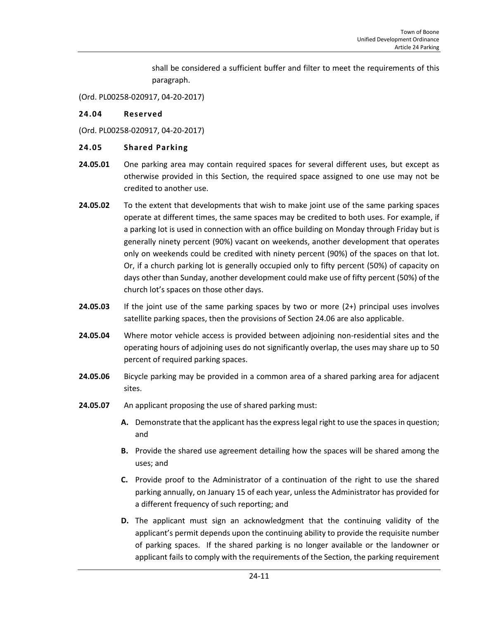shall be considered a sufficient buffer and filter to meet the requirements of this paragraph.

(Ord. PL00258-020917, 04-20-2017)

#### <span id="page-10-0"></span>**24.04 Reserved**

(Ord. PL00258-020917, 04-20-2017)

#### <span id="page-10-1"></span>**24.05 Shared Parking**

- **24.05.01** One parking area may contain required spaces for several different uses, but except as otherwise provided in this Section, the required space assigned to one use may not be credited to another use.
- **24.05.02** To the extent that developments that wish to make joint use of the same parking spaces operate at different times, the same spaces may be credited to both uses. For example, if a parking lot is used in connection with an office building on Monday through Friday but is generally ninety percent (90%) vacant on weekends, another development that operates only on weekends could be credited with ninety percent (90%) of the spaces on that lot. Or, if a church parking lot is generally occupied only to fifty percent (50%) of capacity on days other than Sunday, another development could make use of fifty percent (50%) of the church lot's spaces on those other days.
- **24.05.03** If the joint use of the same parking spaces by two or more (2+) principal uses involves satellite parking spaces, then the provisions of Section 24.06 are also applicable.
- **24.05.04** Where motor vehicle access is provided between adjoining non-residential sites and the operating hours of adjoining uses do not significantly overlap, the uses may share up to 50 percent of required parking spaces.
- **24.05.06** Bicycle parking may be provided in a common area of a shared parking area for adjacent sites.
- **24.05.07** An applicant proposing the use of shared parking must:
	- **A.** Demonstrate that the applicant has the express legal right to use the spaces in question; and
	- **B.** Provide the shared use agreement detailing how the spaces will be shared among the uses; and
	- **C.** Provide proof to the Administrator of a continuation of the right to use the shared parking annually, on January 15 of each year, unless the Administrator has provided for a different frequency of such reporting; and
	- **D.** The applicant must sign an acknowledgment that the continuing validity of the applicant's permit depends upon the continuing ability to provide the requisite number of parking spaces. If the shared parking is no longer available or the landowner or applicant fails to comply with the requirements of the Section, the parking requirement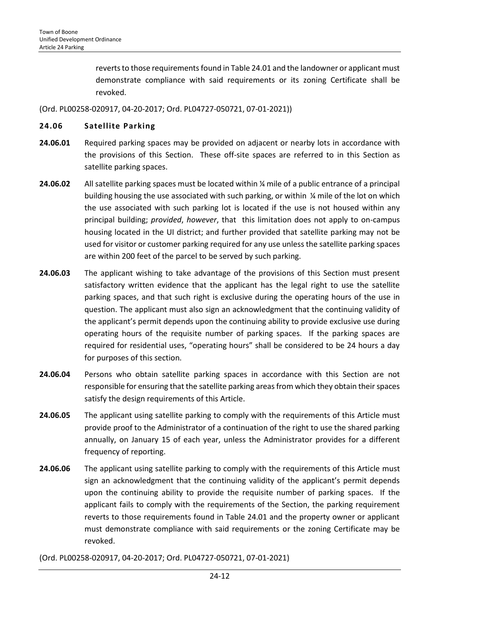reverts to those requirements found in Table 24.01 and the landowner or applicant must demonstrate compliance with said requirements or its zoning Certificate shall be revoked.

(Ord. PL00258-020917, 04-20-2017; Ord. PL04727-050721, 07-01-2021))

#### <span id="page-11-0"></span>**24.06 Satellite Parking**

- **24.06.01** Required parking spaces may be provided on adjacent or nearby lots in accordance with the provisions of this Section. These off-site spaces are referred to in this Section as satellite parking spaces.
- **24.06.02** All satellite parking spaces must be located within ¼ mile of a public entrance of a principal building housing the use associated with such parking, or within ¼ mile of the lot on which the use associated with such parking lot is located if the use is not housed within any principal building; *provided*, *however*, that this limitation does not apply to on-campus housing located in the UI district; and further provided that satellite parking may not be used for visitor or customer parking required for any use unless the satellite parking spaces are within 200 feet of the parcel to be served by such parking.
- **24.06.03** The applicant wishing to take advantage of the provisions of this Section must present satisfactory written evidence that the applicant has the legal right to use the satellite parking spaces, and that such right is exclusive during the operating hours of the use in question. The applicant must also sign an acknowledgment that the continuing validity of the applicant's permit depends upon the continuing ability to provide exclusive use during operating hours of the requisite number of parking spaces. If the parking spaces are required for residential uses, "operating hours" shall be considered to be 24 hours a day for purposes of this section.
- **24.06.04** Persons who obtain satellite parking spaces in accordance with this Section are not responsible for ensuring that the satellite parking areas from which they obtain their spaces satisfy the design requirements of this Article.
- **24.06.05** The applicant using satellite parking to comply with the requirements of this Article must provide proof to the Administrator of a continuation of the right to use the shared parking annually, on January 15 of each year, unless the Administrator provides for a different frequency of reporting.
- **24.06.06** The applicant using satellite parking to comply with the requirements of this Article must sign an acknowledgment that the continuing validity of the applicant's permit depends upon the continuing ability to provide the requisite number of parking spaces. If the applicant fails to comply with the requirements of the Section, the parking requirement reverts to those requirements found in Table 24.01 and the property owner or applicant must demonstrate compliance with said requirements or the zoning Certificate may be revoked.

(Ord. PL00258-020917, 04-20-2017; Ord. PL04727-050721, 07-01-2021)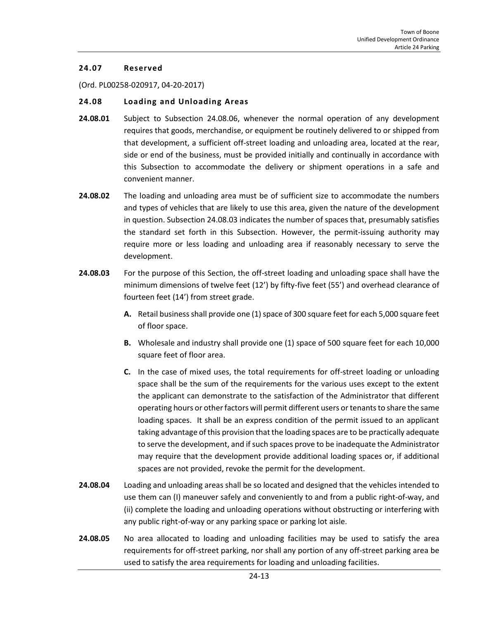#### <span id="page-12-0"></span>**24.07 Reserved**

(Ord. PL00258-020917, 04-20-2017)

#### <span id="page-12-1"></span>**24.08 Loading and Unloading Areas**

- **24.08.01** Subject to Subsection 24.08.06, whenever the normal operation of any development requires that goods, merchandise, or equipment be routinely delivered to or shipped from that development, a sufficient off-street loading and unloading area, located at the rear, side or end of the business, must be provided initially and continually in accordance with this Subsection to accommodate the delivery or shipment operations in a safe and convenient manner.
- **24.08.02** The loading and unloading area must be of sufficient size to accommodate the numbers and types of vehicles that are likely to use this area, given the nature of the development in question. Subsection 24.08.03 indicates the number of spaces that, presumably satisfies the standard set forth in this Subsection. However, the permit-issuing authority may require more or less loading and unloading area if reasonably necessary to serve the development.
- **24.08.03** For the purpose of this Section, the off-street loading and unloading space shall have the minimum dimensions of twelve feet (12') by fifty-five feet (55') and overhead clearance of fourteen feet (14') from street grade.
	- **A.** Retail business shall provide one (1) space of 300 square feet for each 5,000 square feet of floor space.
	- **B.** Wholesale and industry shall provide one (1) space of 500 square feet for each 10,000 square feet of floor area.
	- **C.** In the case of mixed uses, the total requirements for off-street loading or unloading space shall be the sum of the requirements for the various uses except to the extent the applicant can demonstrate to the satisfaction of the Administrator that different operating hours or other factors will permit different users or tenants to share the same loading spaces. It shall be an express condition of the permit issued to an applicant taking advantage of this provision that the loading spaces are to be practically adequate to serve the development, and if such spaces prove to be inadequate the Administrator may require that the development provide additional loading spaces or, if additional spaces are not provided, revoke the permit for the development.
- **24.08.04** Loading and unloading areas shall be so located and designed that the vehicles intended to use them can (I) maneuver safely and conveniently to and from a public right-of-way, and (ii) complete the loading and unloading operations without obstructing or interfering with any public right-of-way or any parking space or parking lot aisle.
- **24.08.05** No area allocated to loading and unloading facilities may be used to satisfy the area requirements for off-street parking, nor shall any portion of any off-street parking area be used to satisfy the area requirements for loading and unloading facilities.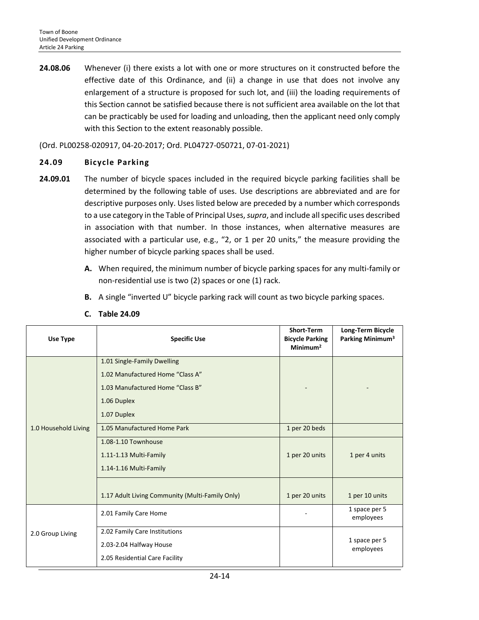**24.08.06** Whenever (i) there exists a lot with one or more structures on it constructed before the effective date of this Ordinance, and (ii) a change in use that does not involve any enlargement of a structure is proposed for such lot, and (iii) the loading requirements of this Section cannot be satisfied because there is not sufficient area available on the lot that can be practicably be used for loading and unloading, then the applicant need only comply with this Section to the extent reasonably possible.

(Ord. PL00258-020917, 04-20-2017; Ord. PL04727-050721, 07-01-2021)

#### <span id="page-13-0"></span>**24.09 Bicycle Parking**

- **24.09.01** The number of bicycle spaces included in the required bicycle parking facilities shall be determined by the following table of uses. Use descriptions are abbreviated and are for descriptive purposes only. Uses listed below are preceded by a number which corresponds to a use category in the Table of Principal Uses, *supra*, and include all specific uses described in association with that number. In those instances, when alternative measures are associated with a particular use, e.g., "2, or 1 per 20 units," the measure providing the higher number of bicycle parking spaces shall be used.
	- **A.** When required, the minimum number of bicycle parking spaces for any multi-family or non-residential use is two (2) spaces or one (1) rack.
	- **B.** A single "inverted U" bicycle parking rack will count as two bicycle parking spaces.

| Use Type             | <b>Specific Use</b>                             | <b>Short-Term</b><br><b>Bicycle Parking</b><br>Minimum <sup>2</sup> | Long-Term Bicycle<br>Parking Minimum <sup>3</sup> |
|----------------------|-------------------------------------------------|---------------------------------------------------------------------|---------------------------------------------------|
|                      | 1.01 Single-Family Dwelling                     |                                                                     |                                                   |
|                      | 1.02 Manufactured Home "Class A"                |                                                                     |                                                   |
|                      | 1.03 Manufactured Home "Class B"                |                                                                     |                                                   |
|                      | 1.06 Duplex                                     |                                                                     |                                                   |
|                      | 1.07 Duplex                                     |                                                                     |                                                   |
| 1.0 Household Living | 1.05 Manufactured Home Park                     | 1 per 20 beds                                                       |                                                   |
|                      | 1.08-1.10 Townhouse                             |                                                                     |                                                   |
|                      | 1.11-1.13 Multi-Family                          | 1 per 20 units                                                      | 1 per 4 units                                     |
|                      | 1.14-1.16 Multi-Family                          |                                                                     |                                                   |
|                      |                                                 |                                                                     |                                                   |
|                      | 1.17 Adult Living Community (Multi-Family Only) | 1 per 20 units                                                      | 1 per 10 units                                    |
|                      | 2.01 Family Care Home                           |                                                                     | 1 space per 5<br>employees                        |
| 2.0 Group Living     | 2.02 Family Care Institutions                   |                                                                     |                                                   |
|                      | 2.03-2.04 Halfway House                         |                                                                     | 1 space per 5<br>employees                        |
|                      | 2.05 Residential Care Facility                  |                                                                     |                                                   |

**C. Table 24.09**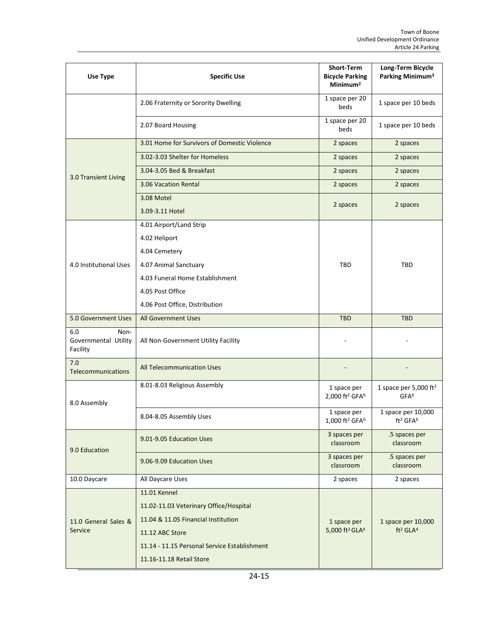| Use Type                                        | <b>Specific Use</b>                          | <b>Short-Term</b><br><b>Bicycle Parking</b><br>Minimum <sup>2</sup> | Long-Term Bicycle<br>Parking Minimum <sup>3</sup>      |
|-------------------------------------------------|----------------------------------------------|---------------------------------------------------------------------|--------------------------------------------------------|
|                                                 | 2.06 Fraternity or Sorority Dwelling         | 1 space per 20<br>beds                                              | 1 space per 10 beds                                    |
|                                                 | 2.07 Board Housing                           | 1 space per 20<br>beds                                              | 1 space per 10 beds                                    |
|                                                 | 3.01 Home for Survivors of Domestic Violence | 2 spaces                                                            | 2 spaces                                               |
|                                                 | 3.02-3.03 Shelter for Homeless               | 2 spaces                                                            | 2 spaces                                               |
| 3.0 Transient Living                            | 3.04-3.05 Bed & Breakfast                    | 2 spaces                                                            | 2 spaces                                               |
|                                                 | 3.06 Vacation Rental                         | 2 spaces                                                            | 2 spaces                                               |
|                                                 | 3.08 Motel                                   |                                                                     | 2 spaces                                               |
|                                                 | 3.09-3.11 Hotel                              | 2 spaces                                                            |                                                        |
|                                                 | 4.01 Airport/Land Strip                      |                                                                     |                                                        |
|                                                 | 4.02 Heliport                                |                                                                     |                                                        |
|                                                 | 4.04 Cemetery                                |                                                                     |                                                        |
| 4.0 Institutional Uses                          | 4.07 Animal Sanctuary                        | TBD                                                                 | TBD                                                    |
|                                                 | 4.03 Funeral Home Establishment              |                                                                     |                                                        |
|                                                 | 4.05 Post Office                             |                                                                     |                                                        |
|                                                 | 4.06 Post Office, Distribution               |                                                                     |                                                        |
| 5.0 Government Uses                             | <b>All Government Uses</b>                   | <b>TBD</b>                                                          | <b>TBD</b>                                             |
| 6.0<br>Non-<br>Governmental Utility<br>Facility | All Non-Government Utility Facility          |                                                                     |                                                        |
| 7.0<br>Telecommunications                       | All Telecommunication Uses                   |                                                                     |                                                        |
| 8.0 Assembly                                    | 8.01-8.03 Religious Assembly                 | 1 space per<br>2,000 ft <sup>2</sup> GFA <sup>6</sup>               | 1 space per 5,000 $ft^2$<br>GFA <sup>6</sup>           |
|                                                 | 8.04-8.05 Assembly Uses                      | 1 space per<br>1,000 ft <sup>2</sup> GFA <sup>6</sup>               | 1 space per 10,000<br>ft <sup>2</sup> GFA <sup>6</sup> |
| 9.0 Education                                   | 9.01-9.05 Education Uses                     | 3 spaces per<br>classroom                                           | .5 spaces per<br>classroom                             |
|                                                 | 9.06-9.09 Education Uses                     | 3 spaces per<br>classroom                                           | .5 spaces per<br>classroom                             |
| 10.0 Daycare                                    | All Daycare Uses                             | 2 spaces                                                            | 2 spaces                                               |
|                                                 | <b>11.01 Kennel</b>                          |                                                                     |                                                        |
|                                                 | 11.02-11.03 Veterinary Office/Hospital       |                                                                     |                                                        |
| 11.0 General Sales &                            | 11.04 & 11.05 Financial Institution          | 1 space per                                                         | 1 space per 10,000                                     |
| Service                                         | 11.12 ABC Store                              | 5,000 ft <sup>2</sup> GLA <sup>4</sup>                              | ft <sup>2</sup> GLA <sup>4</sup>                       |
|                                                 | 11.14 - 11.15 Personal Service Establishment |                                                                     |                                                        |
|                                                 | 11.16-11.18 Retail Store                     |                                                                     |                                                        |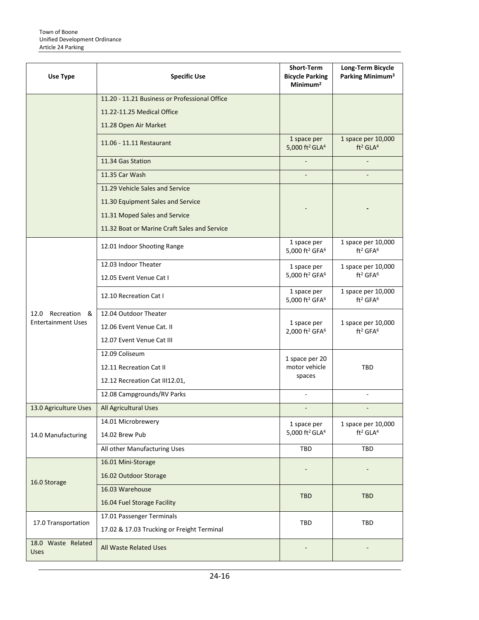| Use Type                          | <b>Specific Use</b>                           | <b>Short-Term</b><br><b>Bicycle Parking</b><br>Minimum <sup>2</sup> | Long-Term Bicycle<br>Parking Minimum <sup>3</sup>      |
|-----------------------------------|-----------------------------------------------|---------------------------------------------------------------------|--------------------------------------------------------|
|                                   | 11.20 - 11.21 Business or Professional Office |                                                                     |                                                        |
|                                   | 11.22-11.25 Medical Office                    |                                                                     |                                                        |
|                                   | 11.28 Open Air Market                         |                                                                     |                                                        |
|                                   | 11.06 - 11.11 Restaurant                      | 1 space per<br>5,000 ft <sup>2</sup> GLA <sup>4</sup>               | 1 space per 10,000<br>ft <sup>2</sup> GLA <sup>4</sup> |
|                                   | 11.34 Gas Station                             |                                                                     |                                                        |
|                                   | 11.35 Car Wash                                |                                                                     |                                                        |
|                                   | 11.29 Vehicle Sales and Service               |                                                                     |                                                        |
|                                   | 11.30 Equipment Sales and Service             |                                                                     |                                                        |
|                                   | 11.31 Moped Sales and Service                 |                                                                     |                                                        |
|                                   | 11.32 Boat or Marine Craft Sales and Service  |                                                                     |                                                        |
|                                   | 12.01 Indoor Shooting Range                   | 1 space per<br>5,000 ft <sup>2</sup> GFA <sup>6</sup>               | 1 space per 10,000<br>ft <sup>2</sup> GFA <sup>6</sup> |
|                                   | 12.03 Indoor Theater                          | 1 space per                                                         | 1 space per 10,000                                     |
|                                   | 12.05 Event Venue Cat I                       | 5,000 ft <sup>2</sup> GFA <sup>6</sup>                              | ft <sup>2</sup> GFA <sup>6</sup>                       |
|                                   | 12.10 Recreation Cat I                        | 1 space per<br>5,000 ft <sup>2</sup> GFA <sup>6</sup>               | 1 space per 10,000<br>ft <sup>2</sup> GFA <sup>6</sup> |
| Recreation &<br>12.0              | 12.04 Outdoor Theater                         |                                                                     |                                                        |
| <b>Entertainment Uses</b>         | 12.06 Event Venue Cat. II                     | 1 space per<br>2,000 ft <sup>2</sup> GFA <sup>6</sup>               | 1 space per 10,000<br>ft <sup>2</sup> GFA <sup>6</sup> |
|                                   | 12.07 Event Venue Cat III                     |                                                                     |                                                        |
|                                   | 12.09 Coliseum                                | 1 space per 20                                                      |                                                        |
|                                   | 12.11 Recreation Cat II                       | motor vehicle                                                       | TBD                                                    |
|                                   | 12.12 Recreation Cat III12.01,                | spaces                                                              |                                                        |
|                                   | 12.08 Campgrounds/RV Parks                    |                                                                     |                                                        |
| 13.0 Agriculture Uses             | All Agricultural Uses                         |                                                                     |                                                        |
|                                   | 14.01 Microbrewery                            | 1 space per                                                         | 1 space per 10,000                                     |
| 14.0 Manufacturing                | 14.02 Brew Pub                                | 5,000 ft <sup>2</sup> GLA <sup>4</sup>                              | ft <sup>2</sup> GLA <sup>4</sup>                       |
|                                   | All other Manufacturing Uses                  | TBD                                                                 | TBD                                                    |
|                                   | 16.01 Mini-Storage                            |                                                                     |                                                        |
| 16.0 Storage                      | 16.02 Outdoor Storage                         |                                                                     |                                                        |
|                                   | 16.03 Warehouse                               | <b>TBD</b>                                                          | <b>TBD</b>                                             |
|                                   | 16.04 Fuel Storage Facility                   |                                                                     |                                                        |
|                                   | 17.01 Passenger Terminals                     | TBD                                                                 | TBD                                                    |
| 17.0 Transportation               | 17.02 & 17.03 Trucking or Freight Terminal    |                                                                     |                                                        |
| 18.0 Waste Related<br><b>Uses</b> | All Waste Related Uses                        |                                                                     |                                                        |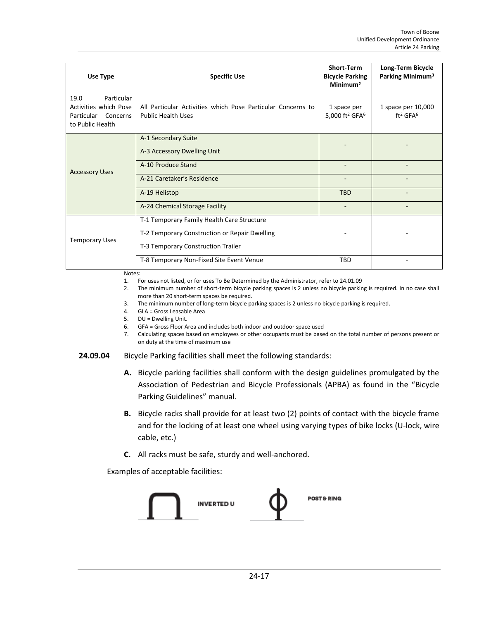| Use Type                                                                                  | <b>Specific Use</b>                                                                      | <b>Short-Term</b><br><b>Bicycle Parking</b><br>Minimum <sup>2</sup> | Long-Term Bicycle<br>Parking Minimum <sup>3</sup>      |
|-------------------------------------------------------------------------------------------|------------------------------------------------------------------------------------------|---------------------------------------------------------------------|--------------------------------------------------------|
| Particular<br>19.0<br>Activities which Pose<br>Particular<br>Concerns<br>to Public Health | All Particular Activities which Pose Particular Concerns to<br><b>Public Health Uses</b> | 1 space per<br>5,000 ft <sup>2</sup> GFA <sup>6</sup>               | 1 space per 10,000<br>ft <sup>2</sup> GFA <sup>6</sup> |
|                                                                                           | A-1 Secondary Suite<br>A-3 Accessory Dwelling Unit                                       |                                                                     |                                                        |
| <b>Accessory Uses</b>                                                                     | A-10 Produce Stand                                                                       |                                                                     |                                                        |
|                                                                                           | A-21 Caretaker's Residence                                                               |                                                                     |                                                        |
|                                                                                           | A-19 Helistop                                                                            | <b>TBD</b>                                                          |                                                        |
|                                                                                           | A-24 Chemical Storage Facility                                                           | ٠                                                                   |                                                        |
|                                                                                           | T-1 Temporary Family Health Care Structure                                               |                                                                     |                                                        |
| <b>Temporary Uses</b>                                                                     | T-2 Temporary Construction or Repair Dwelling                                            |                                                                     |                                                        |
|                                                                                           | T-3 Temporary Construction Trailer                                                       |                                                                     |                                                        |
|                                                                                           | T-8 Temporary Non-Fixed Site Event Venue                                                 | <b>TBD</b>                                                          |                                                        |

Notes:

1. For uses not listed, or for uses To Be Determined by the Administrator, refer to 24.01.09

2. The minimum number of short-term bicycle parking spaces is 2 unless no bicycle parking is required. In no case shall more than 20 short-term spaces be required.

3. The minimum number of long-term bicycle parking spaces is 2 unless no bicycle parking is required.

4. GLA = Gross Leasable Area

5. DU = Dwelling Unit.

6. GFA = Gross Floor Area and includes both indoor and outdoor space used

7. Calculating spaces based on employees or other occupants must be based on the total number of persons present or on duty at the time of maximum use

#### **24.09.04** Bicycle Parking facilities shall meet the following standards:

- **A.** Bicycle parking facilities shall conform with the design guidelines promulgated by the Association of Pedestrian and Bicycle Professionals (APBA) as found in the "Bicycle Parking Guidelines" manual.
- **B.** Bicycle racks shall provide for at least two (2) points of contact with the bicycle frame and for the locking of at least one wheel using varying types of bike locks (U-lock, wire cable, etc.)
- **C.** All racks must be safe, sturdy and well-anchored.

Examples of acceptable facilities:

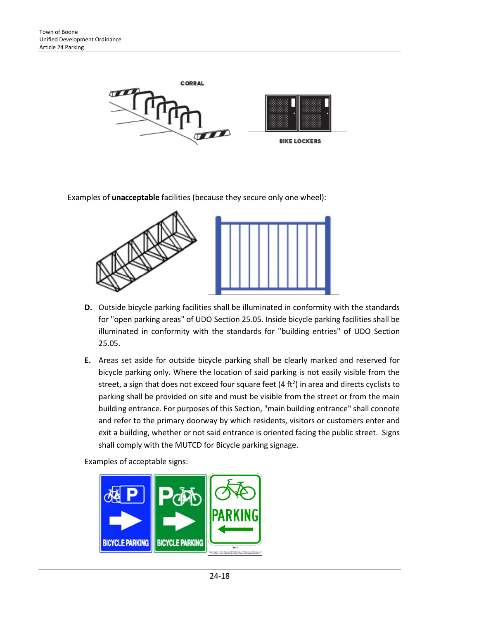

Examples of **unacceptable** facilities (because they secure only one wheel):



- **D.** Outside bicycle parking facilities shall be illuminated in conformity with the standards for "open parking areas" of UDO Section 25.05. Inside bicycle parking facilities shall be illuminated in conformity with the standards for "building entries" of UDO Section 25.05.
- **E.** Areas set aside for outside bicycle parking shall be clearly marked and reserved for bicycle parking only. Where the location of said parking is not easily visible from the street, a sign that does not exceed four square feet (4 ft<sup>2</sup>) in area and directs cyclists to parking shall be provided on site and must be visible from the street or from the main building entrance. For purposes of this Section, "main building entrance" shall connote and refer to the primary doorway by which residents, visitors or customers enter and exit a building, whether or not said entrance is oriented facing the public street. Signs shall comply with the MUTCD for Bicycle parking signage.

Examples of acceptable signs:

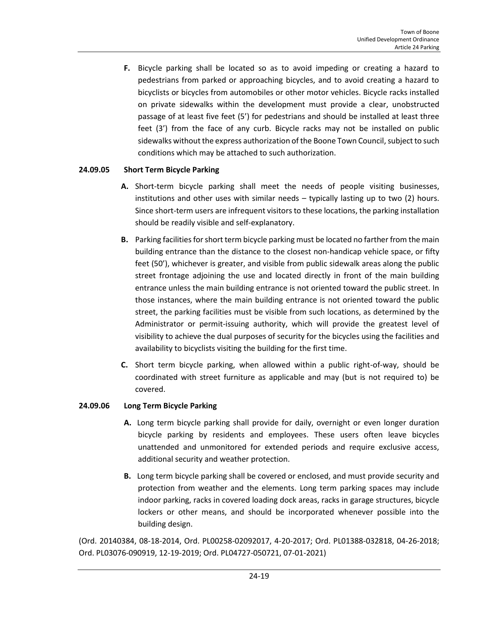**F.** Bicycle parking shall be located so as to avoid impeding or creating a hazard to pedestrians from parked or approaching bicycles, and to avoid creating a hazard to bicyclists or bicycles from automobiles or other motor vehicles. Bicycle racks installed on private sidewalks within the development must provide a clear, unobstructed passage of at least five feet (5') for pedestrians and should be installed at least three feet (3') from the face of any curb. Bicycle racks may not be installed on public sidewalks without the express authorization of the Boone Town Council, subject to such conditions which may be attached to such authorization.

## **24.09.05 Short Term Bicycle Parking**

- **A.** Short-term bicycle parking shall meet the needs of people visiting businesses, institutions and other uses with similar needs – typically lasting up to two (2) hours. Since short-term users are infrequent visitors to these locations, the parking installation should be readily visible and self-explanatory.
- **B.** Parking facilities for short term bicycle parking must be located no farther from the main building entrance than the distance to the closest non-handicap vehicle space, or fifty feet (50'), whichever is greater, and visible from public sidewalk areas along the public street frontage adjoining the use and located directly in front of the main building entrance unless the main building entrance is not oriented toward the public street. In those instances, where the main building entrance is not oriented toward the public street, the parking facilities must be visible from such locations, as determined by the Administrator or permit-issuing authority, which will provide the greatest level of visibility to achieve the dual purposes of security for the bicycles using the facilities and availability to bicyclists visiting the building for the first time.
- **C.** Short term bicycle parking, when allowed within a public right-of-way, should be coordinated with street furniture as applicable and may (but is not required to) be covered.

## **24.09.06 Long Term Bicycle Parking**

- **A.** Long term bicycle parking shall provide for daily, overnight or even longer duration bicycle parking by residents and employees. These users often leave bicycles unattended and unmonitored for extended periods and require exclusive access, additional security and weather protection.
- **B.** Long term bicycle parking shall be covered or enclosed, and must provide security and protection from weather and the elements. Long term parking spaces may include indoor parking, racks in covered loading dock areas, racks in garage structures, bicycle lockers or other means, and should be incorporated whenever possible into the building design.

(Ord. 20140384, 08-18-2014, Ord. PL00258-02092017, 4-20-2017; Ord. PL01388-032818, 04-26-2018; Ord. PL03076-090919, 12-19-2019; Ord. PL04727-050721, 07-01-2021)